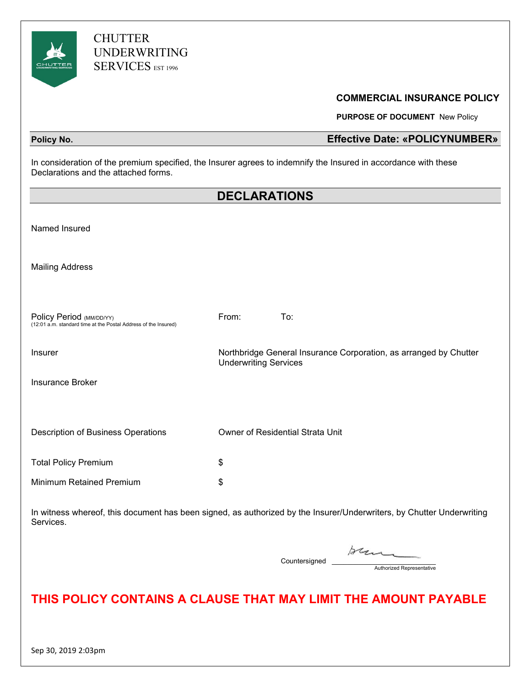



### **COMMERCIAL INSURANCE POLICY**

**PURPOSE OF DOCUMENT** New Policy

### **Policy No. Policy No. Policy No. Policy No. Effective Date: «POLICYNUMBER»**

In consideration of the premium specified, the Insurer agrees to indemnify the Insured in accordance with these Declarations and the attached forms.

### **DECLARATIONS**

| Named Insured                                                                                                                      |                                                                                                   |                                  |  |  |  |  |
|------------------------------------------------------------------------------------------------------------------------------------|---------------------------------------------------------------------------------------------------|----------------------------------|--|--|--|--|
| <b>Mailing Address</b>                                                                                                             |                                                                                                   |                                  |  |  |  |  |
| Policy Period (MM/DD/YY)<br>(12:01 a.m. standard time at the Postal Address of the Insured)                                        | From:                                                                                             | To:                              |  |  |  |  |
| <b>Insurer</b>                                                                                                                     | Northbridge General Insurance Corporation, as arranged by Chutter<br><b>Underwriting Services</b> |                                  |  |  |  |  |
| <b>Insurance Broker</b>                                                                                                            |                                                                                                   |                                  |  |  |  |  |
|                                                                                                                                    |                                                                                                   |                                  |  |  |  |  |
| Description of Business Operations                                                                                                 |                                                                                                   | Owner of Residential Strata Unit |  |  |  |  |
| <b>Total Policy Premium</b>                                                                                                        | \$                                                                                                |                                  |  |  |  |  |
| <b>Minimum Retained Premium</b>                                                                                                    | \$                                                                                                |                                  |  |  |  |  |
| In witness whereof, this document has been signed, as authorized by the Insurer/Underwriters, by Chutter Underwriting<br>Services. |                                                                                                   |                                  |  |  |  |  |

Countersigned

Authorized Representative

# **THIS POLICY CONTAINS A CLAUSE THAT MAY LIMIT THE AMOUNT PAYABLE**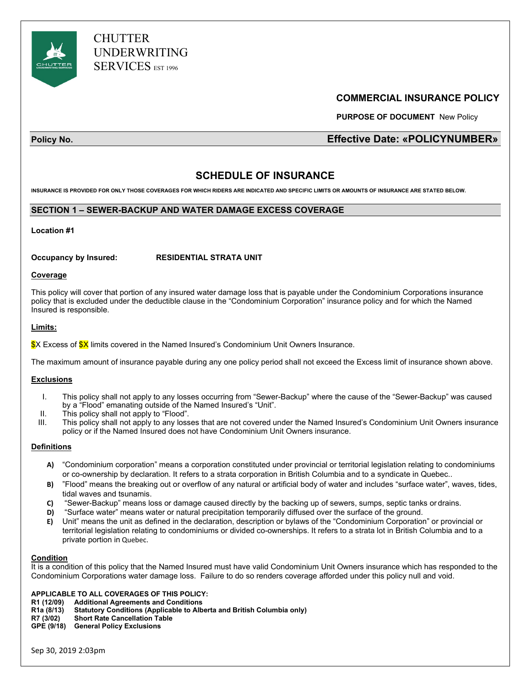

**CHUTTER** UNDERWRITING SERVICES EST 1996

### **COMMERCIAL INSURANCE POLICY**

**PURPOSE OF DOCUMENT** New Policy

### **Policy No. Effective Date: «POLICYNUMBER»**

### **SCHEDULE OF INSURANCE**

**INSURANCE IS PROVIDED FOR ONLY THOSE COVERAGES FOR WHICH RIDERS ARE INDICATED AND SPECIFIC LIMITS OR AMOUNTS OF INSURANCE ARE STATED BELOW.**

### **SECTION 1 – SEWER-BACKUP AND WATER DAMAGE EXCESS COVERAGE**

#### **Location #1**

**Occupancy by Insured: RESIDENTIAL STRATA UNIT**

### **Coverage**

This policy will cover that portion of any insured water damage loss that is payable under the Condominium Corporations insurance policy that is excluded under the deductible clause in the "Condominium Corporation" insurance policy and for which the Named Insured is responsible.

#### **Limits:**

\$X Excess of \$X limits covered in the Named Insured's Condominium Unit Owners Insurance.

The maximum amount of insurance payable during any one policy period shall not exceed the Excess limit of insurance shown above.

#### **Exclusions**

- I. This policy shall not apply to any losses occurring from "Sewer-Backup" where the cause of the "Sewer-Backup" was caused by a "Flood" emanating outside of the Named Insured's "Unit".
- II. This policy shall not apply to "Flood".
- This policy shall not apply to any losses that are not covered under the Named Insured's Condominium Unit Owners insurance policy or if the Named Insured does not have Condominium Unit Owners insurance.

#### **Definitions**

- **A)** "Condominium corporation" means a corporation constituted under provincial or territorial legislation relating to condominiums or co-ownership by declaration. It refers to a strata corporation in British Columbia and to a syndicate in Quebec..
- **B)** "Flood" means the breaking out or overflow of any natural or artificial body of water and includes "surface water", waves, tides, tidal waves and tsunamis.
- **C)** "Sewer-Backup" means loss or damage caused directly by the backing up of sewers, sumps, septic tanks or drains.
- **D)** "Surface water" means water or natural precipitation temporarily diffused over the surface of the ground.
- **E)** Unit" means the unit as defined in the declaration, description or bylaws of the "Condominium Corporation" or provincial or territorial legislation relating to condominiums or divided co-ownerships. It refers to a strata lot in British Columbia and to a private portion in Quebec.

### **Condition**

It is a condition of this policy that the Named Insured must have valid Condominium Unit Owners insurance which has responded to the Condominium Corporations water damage loss. Failure to do so renders coverage afforded under this policy null and void.

**APPLICABLE TO ALL COVERAGES OF THIS POLICY:**

**R1 (12/09) Additional Agreements and Conditions**

**R1a (8/13) Statutory Conditions (Applicable to Alberta and British Columbia only)**

**R7 (3/02) Short Rate Cancellation Table**

**GPE (9/18) General Policy Exclusions**

Sep 30, 2019 2:03pm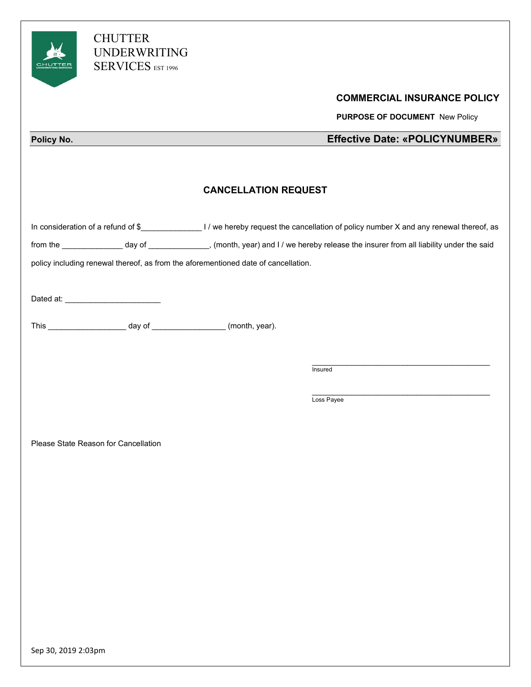

**CHUTTER** UNDERWRITING SERVICES EST 1996

### **COMMERCIAL INSURANCE POLICY**

**PURPOSE OF DOCUMENT** New Policy

### **Policy No. Policy No. Policy No. Policy No. Effective Date: «POLICYNUMBER»**

### **CANCELLATION REQUEST**

In consideration of a refund of \$\_\_\_\_\_\_\_\_\_\_\_\_\_\_ I / we hereby request the cancellation of policy number X and any renewal thereof, as

from the \_\_\_\_\_\_\_\_\_\_\_\_\_\_\_\_\_ day of \_\_\_\_\_\_\_\_\_\_\_\_\_\_, (month, year) and I / we hereby release the insurer from all liability under the said

policy including renewal thereof, as from the aforementioned date of cancellation.

Dated at: \_\_\_\_\_\_\_\_\_\_\_\_\_\_\_\_\_\_\_\_\_\_

This \_\_\_\_\_\_\_\_\_\_\_\_\_\_\_\_\_\_ day of \_\_\_\_\_\_\_\_\_\_\_\_\_\_\_\_\_ (month, year).

\_\_\_\_\_\_\_\_\_\_\_\_\_\_\_\_\_\_\_\_\_\_\_\_\_\_\_\_\_\_\_\_\_\_\_\_\_\_\_\_\_ **Insured** 

\_\_\_\_\_\_\_\_\_\_\_\_\_\_\_\_\_\_\_\_\_\_\_\_\_\_\_\_\_\_\_\_\_\_\_\_\_\_\_\_\_ Loss Payee

Please State Reason for Cancellation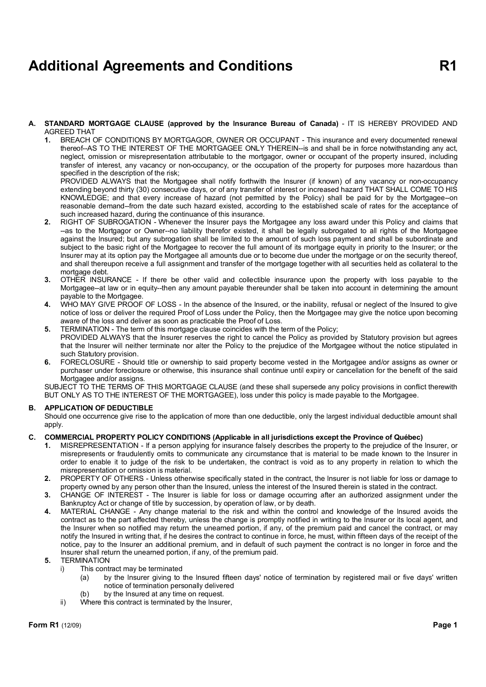- **A. STANDARD MORTGAGE CLAUSE (approved by the Insurance Bureau of Canada)** IT IS HEREBY PROVIDED AND AGREED THAT
	- **1.** BREACH OF CONDITIONS BY MORTGAGOR, OWNER OR OCCUPANT This insurance and every documented renewal thereof--AS TO THE INTEREST OF THE MORTGAGEE ONLY THEREIN--is and shall be in force notwithstanding any act, neglect, omission or misrepresentation attributable to the mortgagor, owner or occupant of the property insured, including transfer of interest, any vacancy or non-occupancy, or the occupation of the property for purposes more hazardous than specified in the description of the risk;

PROVIDED ALWAYS that the Mortgagee shall notify forthwith the Insurer (if known) of any vacancy or non-occupancy extending beyond thirty (30) consecutive days, or of any transfer of interest or increased hazard THAT SHALL COME TO HIS KNOWLEDGE; and that every increase of hazard (not permitted by the Policy) shall be paid for by the Mortgagee--on reasonable demand--from the date such hazard existed, according to the established scale of rates for the acceptance of such increased hazard, during the continuance of this insurance.

- **2.** RIGHT OF SUBROGATION Whenever the Insurer pays the Mortgagee any loss award under this Policy and claims that --as to the Mortgagor or Owner--no liability therefor existed, it shall be legally subrogated to all rights of the Mortgagee against the Insured; but any subrogation shall be limited to the amount of such loss payment and shall be subordinate and subject to the basic right of the Mortgagee to recover the full amount of its mortgage equity in priority to the Insurer; or the Insurer may at its option pay the Mortgagee all amounts due or to become due under the mortgage or on the security thereof, and shall thereupon receive a full assignment and transfer of the mortgage together with all securities held as collateral to the mortgage debt.
- **3.** OTHER INSURANCE If there be other valid and collectible insurance upon the property with loss payable to the Mortgagee--at law or in equity--then any amount payable thereunder shall be taken into account in determining the amount payable to the Mortgagee.
- WHO MAY GIVE PROOF OF LOSS In the absence of the Insured, or the inability, refusal or neglect of the Insured to give notice of loss or deliver the required Proof of Loss under the Policy, then the Mortgagee may give the notice upon becoming aware of the loss and deliver as soon as practicable the Proof of Loss.
- **5.** TERMINATION The term of this mortgage clause coincides with the term of the Policy; PROVIDED ALWAYS that the Insurer reserves the right to cancel the Policy as provided by Statutory provision but agrees that the Insurer will neither terminate nor alter the Policy to the prejudice of the Mortgagee without the notice stipulated in such Statutory provision.
- **6.** FORECLOSURE Should title or ownership to said property become vested in the Mortgagee and/or assigns as owner or purchaser under foreclosure or otherwise, this insurance shall continue until expiry or cancellation for the benefit of the said Mortgagee and/or assigns.

SUBJECT TO THE TERMS OF THIS MORTGAGE CLAUSE (and these shall supersede any policy provisions in conflict therewith BUT ONLY AS TO THE INTEREST OF THE MORTGAGEE), loss under this policy is made payable to the Mortgagee.

### **B. APPLICATION OF DEDUCTIBLE**

Should one occurrence give rise to the application of more than one deductible, only the largest individual deductible amount shall apply.

### **C. COMMERCIAL PROPERTY POLICY CONDITIONS (Applicable in all jurisdictions except the Province of Québec)**

- **1.** MISREPRESENTATION If a person applying for insurance falsely describes the property to the prejudice of the Insurer, or misrepresents or fraudulently omits to communicate any circumstance that is material to be made known to the Insurer in order to enable it to judge of the risk to be undertaken, the contract is void as to any property in relation to which the misrepresentation or omission is material.
- **2.** PROPERTY OF OTHERS Unless otherwise specifically stated in the contract, the Insurer is not liable for loss or damage to property owned by any person other than the Insured, unless the interest of the Insured therein is stated in the contract.
- **3.** CHANGE OF INTEREST The Insurer is liable for loss or damage occurring after an authorized assignment under the Bankruptcy Act or change of title by succession, by operation of law, or by death.
- **4.** MATERIAL CHANGE Any change material to the risk and within the control and knowledge of the Insured avoids the contract as to the part affected thereby, unless the change is promptly notified in writing to the Insurer or its local agent, and the Insurer when so notified may return the unearned portion, if any, of the premium paid and cancel the contract, or may notify the Insured in writing that, if he desires the contract to continue in force, he must, within fifteen days of the receipt of the notice, pay to the Insurer an additional premium, and in default of such payment the contract is no longer in force and the Insurer shall return the unearned portion, if any, of the premium paid.

### **5.** TERMINATION

- i) This contract may be terminated
	- (a) by the Insurer giving to the Insured fifteen days' notice of termination by registered mail or five days' written notice of termination personally delivered
	- (b) by the Insured at any time on request.
- ii) Where this contract is terminated by the Insurer,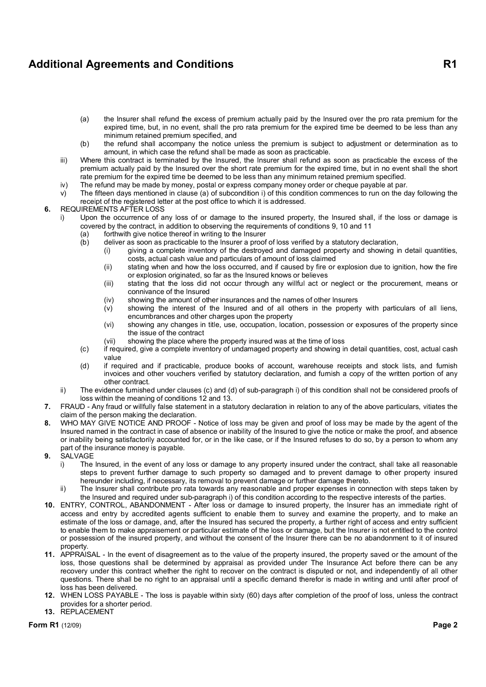- (a) the Insurer shall refund the excess of premium actually paid by the Insured over the pro rata premium for the expired time, but, in no event, shall the pro rata premium for the expired time be deemed to be less than any minimum retained premium specified, and
- (b) the refund shall accompany the notice unless the premium is subject to adjustment or determination as to amount, in which case the refund shall be made as soon as practicable.
- iii) Where this contract is terminated by the Insured, the Insurer shall refund as soon as practicable the excess of the premium actually paid by the Insured over the short rate premium for the expired time, but in no event shall the short rate premium for the expired time be deemed to be less than any minimum retained premium specified.
- iv) The refund may be made by money, postal or express company money order or cheque payable at par.
- v) The fifteen days mentioned in clause (a) of subcondition i) of this condition commences to run on the day following the receipt of the registered letter at the post office to which it is addressed.
- **6.** REQUIREMENTS AFTER LOSS
	- i) Upon the occurrence of any loss of or damage to the insured property, the Insured shall, if the loss or damage is covered by the contract, in addition to observing the requirements of conditions 9, 10 and 11
		- (a) forthwith give notice thereof in writing to the Insurer
		- (b) deliver as soon as practicable to the Insurer a proof of loss verified by a statutory declaration,
			- (i) giving a complete inventory of the destroyed and damaged property and showing in detail quantities, costs, actual cash value and particulars of amount of loss claimed
			- (ii) stating when and how the loss occurred, and if caused by fire or explosion due to ignition, how the fire or explosion originated, so far as the Insured knows or believes
			- (iii) stating that the loss did not occur through any willful act or neglect or the procurement, means or connivance of the Insured
			- (iv) showing the amount of other insurances and the names of other Insurers
			- (v) showing the interest of the Insured and of all others in the property with particulars of all liens, encumbrances and other charges upon the property
			- (vi) showing any changes in title, use, occupation, location, possession or exposures of the property since the issue of the contract
			- (vii) showing the place where the property insured was at the time of loss
		- (c) if required, give a complete inventory of undamaged property and showing in detail quantities, cost, actual cash value
		- (d) if required and if practicable, produce books of account, warehouse receipts and stock lists, and furnish invoices and other vouchers verified by statutory declaration, and furnish a copy of the written portion of any other contract.
		- ii) The evidence furnished under clauses (c) and (d) of sub-paragraph i) of this condition shall not be considered proofs of loss within the meaning of conditions 12 and 13.
- **7.** FRAUD Any fraud or willfully false statement in a statutory declaration in relation to any of the above particulars, vitiates the claim of the person making the declaration.
- **8.** WHO MAY GIVE NOTICE AND PROOF Notice of loss may be given and proof of loss may be made by the agent of the Insured named in the contract in case of absence or inability of the Insured to give the notice or make the proof, and absence or inability being satisfactorily accounted for, or in the like case, or if the Insured refuses to do so, by a person to whom any part of the insurance money is payable.
- **9.** SALVAGE
	- i) The Insured, in the event of any loss or damage to any property insured under the contract, shall take all reasonable steps to prevent further damage to such property so damaged and to prevent damage to other property insured hereunder including, if necessary, its removal to prevent damage or further damage thereto.
	- ii) The Insurer shall contribute pro rata towards any reasonable and proper expenses in connection with steps taken by the Insured and required under sub-paragraph i) of this condition according to the respective interests of the parties.
- **10.** ENTRY, CONTROL, ABANDONMENT After loss or damage to insured property, the Insurer has an immediate right of access and entry by accredited agents sufficient to enable them to survey and examine the property, and to make an estimate of the loss or damage, and, after the Insured has secured the property, a further right of access and entry sufficient to enable them to make appraisement or particular estimate of the loss or damage, but the Insurer is not entitled to the control or possession of the insured property, and without the consent of the Insurer there can be no abandonment to it of insured property.
- **11.** APPRAISAL In the event of disagreement as to the value of the property insured, the property saved or the amount of the loss, those questions shall be determined by appraisal as provided under The Insurance Act before there can be any recovery under this contract whether the right to recover on the contract is disputed or not, and independently of all other questions. There shall be no right to an appraisal until a specific demand therefor is made in writing and until after proof of loss has been delivered.
- **12.** WHEN LOSS PAYABLE The loss is payable within sixty (60) days after completion of the proof of loss, unless the contract provides for a shorter period.
- **13.** REPLACEMENT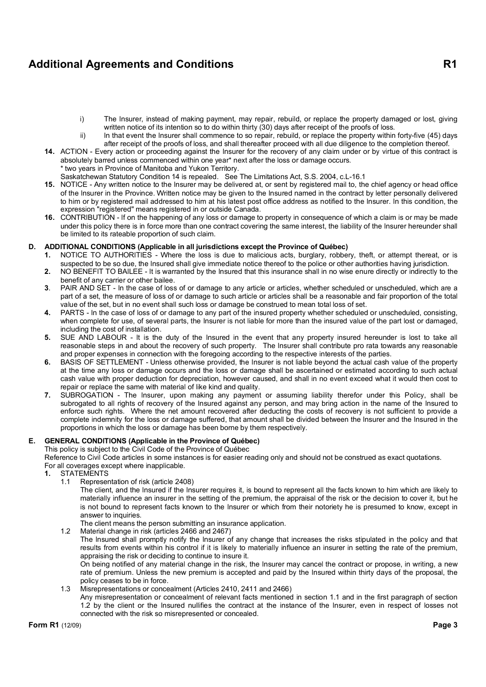- i) The Insurer, instead of making payment, may repair, rebuild, or replace the property damaged or lost, giving written notice of its intention so to do within thirty (30) days after receipt of the proofs of loss.
- ii) In that event the Insurer shall commence to so repair, rebuild, or replace the property within forty-five (45) days after receipt of the proofs of loss, and shall thereafter proceed with all due diligence to the completion thereof.
- **14.** ACTION Every action or proceeding against the Insurer for the recovery of any claim under or by virtue of this contract is absolutely barred unless commenced within one year\* next after the loss or damage occurs. \* two years in Province of Manitoba and Yukon Territory.

Saskatchewan Statutory Condition 14 is repealed. See The Limitations Act, S.S. 2004, c.L-16.1

- **15.** NOTICE Any written notice to the Insurer may be delivered at, or sent by registered mail to, the chief agency or head office of the Insurer in the Province. Written notice may be given to the Insured named in the contract by letter personally delivered to him or by registered mail addressed to him at his latest post office address as notified to the Insurer. In this condition, the expression "registered" means registered in or outside Canada.
- **16.** CONTRIBUTION If on the happening of any loss or damage to property in consequence of which a claim is or may be made under this policy there is in force more than one contract covering the same interest, the liability of the Insurer hereunder shall be limited to its rateable proportion of such claim.

### **D. ADDITIONAL CONDITIONS (Applicable in all jurisdictions except the Province of Québec)**

- **1.** NOTICE TO AUTHORITIES Where the loss is due to malicious acts, burglary, robbery, theft, or attempt thereat, or is suspected to be so due, the Insured shall give immediate notice thereof to the police or other authorities having jurisdiction.
- **2.** NO BENEFIT TO BAILEE It is warranted by the Insured that this insurance shall in no wise enure directly or indirectly to the benefit of any carrier or other bailee.
- **3**. PAIR AND SET In the case of loss of or damage to any article or articles, whether scheduled or unscheduled, which are a part of a set, the measure of loss of or damage to such article or articles shall be a reasonable and fair proportion of the total value of the set, but in no event shall such loss or damage be construed to mean total loss of set.
- **4.** PARTS In the case of loss of or damage to any part of the insured property whether scheduled or unscheduled, consisting, when complete for use, of several parts, the Insurer is not liable for more than the insured value of the part lost or damaged, including the cost of installation.
- **5.** SUE AND LABOUR It is the duty of the Insured in the event that any property insured hereunder is lost to take all reasonable steps in and about the recovery of such property. The Insurer shall contribute pro rata towards any reasonable and proper expenses in connection with the foregoing according to the respective interests of the parties.
- **6.** BASIS OF SETTLEMENT Unless otherwise provided, the Insurer is not liable beyond the actual cash value of the property at the time any loss or damage occurs and the loss or damage shall be ascertained or estimated according to such actual cash value with proper deduction for depreciation, however caused, and shall in no event exceed what it would then cost to repair or replace the same with material of like kind and quality.
- **7.** SUBROGATION The Insurer, upon making any payment or assuming liability therefor under this Policy, shall be subrogated to all rights of recovery of the Insured against any person, and may bring action in the name of the Insured to enforce such rights. Where the net amount recovered after deducting the costs of recovery is not sufficient to provide a complete indemnity for the loss or damage suffered, that amount shall be divided between the Insurer and the Insured in the proportions in which the loss or damage has been borne by them respectively.

### **E. GENERAL CONDITIONS (Applicable in the Province of Québec)**

This policy is subject to the Civil Code of the Province of Québec

Reference to Civil Code articles in some instances is for easier reading only and should not be construed as exact quotations. For all coverages except where inapplicable.

- **1.** STATEMENTS
	- 1.1 Representation of risk (article 2408)

The client, and the Insured if the Insurer requires it, is bound to represent all the facts known to him which are likely to materially influence an insurer in the setting of the premium, the appraisal of the risk or the decision to cover it, but he is not bound to represent facts known to the Insurer or which from their notoriety he is presumed to know, except in answer to inquiries.

The client means the person submitting an insurance application.

1.2 Material change in risk (articles 2466 and 2467)

The Insured shall promptly notify the Insurer of any change that increases the risks stipulated in the policy and that results from events within his control if it is likely to materially influence an insurer in setting the rate of the premium, appraising the risk or deciding to continue to insure it.

On being notified of any material change in the risk, the Insurer may cancel the contract or propose, in writing, a new rate of premium. Unless the new premium is accepted and paid by the Insured within thirty days of the proposal, the policy ceases to be in force.

### 1.3 Misrepresentations or concealment (Articles 2410, 2411 and 2466) Any misrepresentation or concealment of relevant facts mentioned in section 1.1 and in the first paragraph of section

1.2 by the client or the Insured nullifies the contract at the instance of the Insurer, even in respect of losses not connected with the risk so misrepresented or concealed.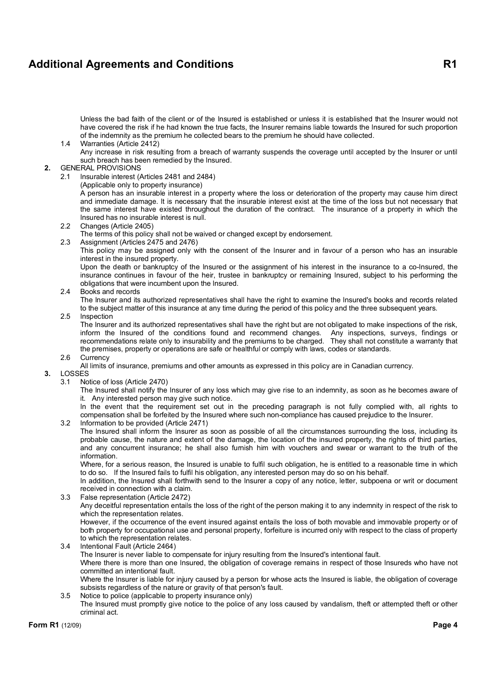Unless the bad faith of the client or of the Insured is established or unless it is established that the Insurer would not have covered the risk if he had known the true facts, the Insurer remains liable towards the Insured for such proportion of the indemnity as the premium he collected bears to the premium he should have collected.

- 1.4 Warranties (Article 2412)
	- Any increase in risk resulting from a breach of warranty suspends the coverage until accepted by the Insurer or until such breach has been remedied by the Insured.

### **2.** GENERAL PROVISIONS

- 2.1 Insurable interest (Articles 2481 and 2484)
	- (Applicable only to property insurance)

A person has an insurable interest in a property where the loss or deterioration of the property may cause him direct and immediate damage. It is necessary that the insurable interest exist at the time of the loss but not necessary that the same interest have existed throughout the duration of the contract. The insurance of a property in which the Insured has no insurable interest is null.

- 2.2 Changes (Article 2405)
	- The terms of this policy shall not be waived or changed except by endorsement.
- 2.3 Assignment (Articles 2475 and 2476)

This policy may be assigned only with the consent of the Insurer and in favour of a person who has an insurable interest in the insured property.

Upon the death or bankruptcy of the Insured or the assignment of his interest in the insurance to a co-Insured, the insurance continues in favour of the heir, trustee in bankruptcy or remaining Insured, subject to his performing the obligations that were incumbent upon the Insured.

2.4 Books and records

The Insurer and its authorized representatives shall have the right to examine the Insured's books and records related to the subject matter of this insurance at any time during the period of this policy and the three subsequent years.

2.5 Inspection

The Insurer and its authorized representatives shall have the right but are not obligated to make inspections of the risk, inform the Insured of the conditions found and recommend changes. Any inspections, surveys, findings or recommendations relate only to insurability and the premiums to be charged. They shall not constitute a warranty that the premises, property or operations are safe or healthful or comply with laws, codes or standards.

- 2.6 Currency
	- All limits of insurance, premiums and other amounts as expressed in this policy are in Canadian currency.
- **3.** LOSSES
	- 3.1 Notice of loss (Article 2470)

The Insured shall notify the Insurer of any loss which may give rise to an indemnity, as soon as he becomes aware of it. Any interested person may give such notice.

In the event that the requirement set out in the preceding paragraph is not fully complied with, all rights to compensation shall be forfeited by the Insured where such non-compliance has caused prejudice to the Insurer.

3.2 Information to be provided (Article 2471)

The Insured shall inform the Insurer as soon as possible of all the circumstances surrounding the loss, including its probable cause, the nature and extent of the damage, the location of the insured property, the rights of third parties, and any concurrent insurance; he shall also furnish him with vouchers and swear or warrant to the truth of the information.

Where, for a serious reason, the Insured is unable to fulfil such obligation, he is entitled to a reasonable time in which to do so. If the Insured fails to fulfil his obligation, any interested person may do so on his behalf.

In addition, the Insured shall forthwith send to the Insurer a copy of any notice, letter, subpoena or writ or document received in connection with a claim.

- 3.3 False representation (Article 2472) Any deceitful representation entails the loss of the right of the person making it to any indemnity in respect of the risk to which the representation relates. However, if the occurrence of the event insured against entails the loss of both movable and immovable property or of both property for occupational use and personal property, forfeiture is incurred only with respect to the class of property to which the representation relates. 3.4 Intentional Fault (Article 2464)
- The Insurer is never liable to compensate for injury resulting from the Insured's intentional fault. Where there is more than one Insured, the obligation of coverage remains in respect of those Insureds who have not committed an intentional fault. Where the Insurer is liable for injury caused by a person for whose acts the Insured is liable, the obligation of coverage
- subsists regardless of the nature or gravity of that person's fault.
- 3.5 Notice to police (applicable to property insurance only) The Insured must promptly give notice to the police of any loss caused by vandalism, theft or attempted theft or other criminal act.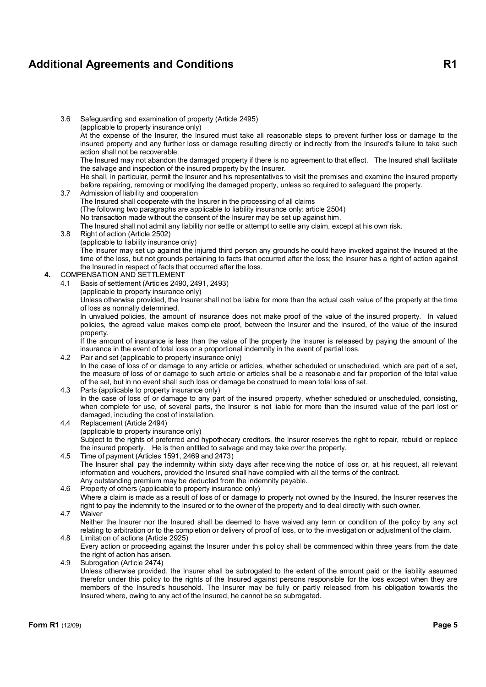3.6 Safeguarding and examination of property (Article 2495) (applicable to property insurance only) At the expense of the Insurer, the Insured must take all reasonable steps to prevent further loss or damage to the insured property and any further loss or damage resulting directly or indirectly from the Insured's failure to take such action shall not be recoverable. The Insured may not abandon the damaged property if there is no agreement to that effect. The Insured shall facilitate the salvage and inspection of the insured property by the Insurer. He shall, in particular, permit the Insurer and his representatives to visit the premises and examine the insured property before repairing, removing or modifying the damaged property, unless so required to safeguard the property. 3.7 Admission of liability and cooperation The Insured shall cooperate with the Insurer in the processing of all claims (The following two paragraphs are applicable to liability insurance only: article 2504) No transaction made without the consent of the Insurer may be set up against him. The Insured shall not admit any liability nor settle or attempt to settle any claim, except at his own risk. 3.8 Right of action (Article 2502) (applicable to liability insurance only) The Insurer may set up against the injured third person any grounds he could have invoked against the Insured at the time of the loss, but not grounds pertaining to facts that occurred after the loss; the Insurer has a right of action against the Insured in respect of facts that occurred after the loss. **4.** COMPENSATION AND SETTLEMENT 4.1 Basis of settlement (Articles 2490, 2491, 2493) (applicable to property insurance only) Unless otherwise provided, the Insurer shall not be liable for more than the actual cash value of the property at the time of loss as normally determined. In unvalued policies, the amount of insurance does not make proof of the value of the insured property. In valued policies, the agreed value makes complete proof, between the Insurer and the Insured, of the value of the insured property. If the amount of insurance is less than the value of the property the Insurer is released by paying the amount of the insurance in the event of total loss or a proportional indemnity in the event of partial loss. 4.2 Pair and set (applicable to property insurance only) In the case of loss of or damage to any article or articles, whether scheduled or unscheduled, which are part of a set, the measure of loss of or damage to such article or articles shall be a reasonable and fair proportion of the total value of the set, but in no event shall such loss or damage be construed to mean total loss of set. 4.3 Parts (applicable to property insurance only) In the case of loss of or damage to any part of the insured property, whether scheduled or unscheduled, consisting, when complete for use, of several parts, the Insurer is not liable for more than the insured value of the part lost or damaged, including the cost of installation. 4.4 Replacement (Article 2494) (applicable to property insurance only) Subject to the rights of preferred and hypothecary creditors, the Insurer reserves the right to repair, rebuild or replace the insured property. He is then entitled to salvage and may take over the property. 4.5 Time of payment (Articles 1591, 2469 and 2473) The Insurer shall pay the indemnity within sixty days after receiving the notice of loss or, at his request, all relevant information and vouchers, provided the Insured shall have complied with all the terms of the contract. Any outstanding premium may be deducted from the indemnity payable. 4.6 Property of others (applicable to property insurance only) Where a claim is made as a result of loss of or damage to property not owned by the Insured, the Insurer reserves the right to pay the indemnity to the Insured or to the owner of the property and to deal directly with such owner. 4.7 Waiver Neither the Insurer nor the Insured shall be deemed to have waived any term or condition of the policy by any act relating to arbitration or to the completion or delivery of proof of loss, or to the investigation or adjustment of the claim. 4.8 Limitation of actions (Article 2925) Every action or proceeding against the Insurer under this policy shall be commenced within three years from the date the right of action has arisen. 4.9 Subrogation (Article 2474) Unless otherwise provided, the Insurer shall be subrogated to the extent of the amount paid or the liability assumed therefor under this policy to the rights of the Insured against persons responsible for the loss except when they are

members of the Insured's household. The Insurer may be fully or partly released from his obligation towards the

Insured where, owing to any act of the Insured, he cannot be so subrogated.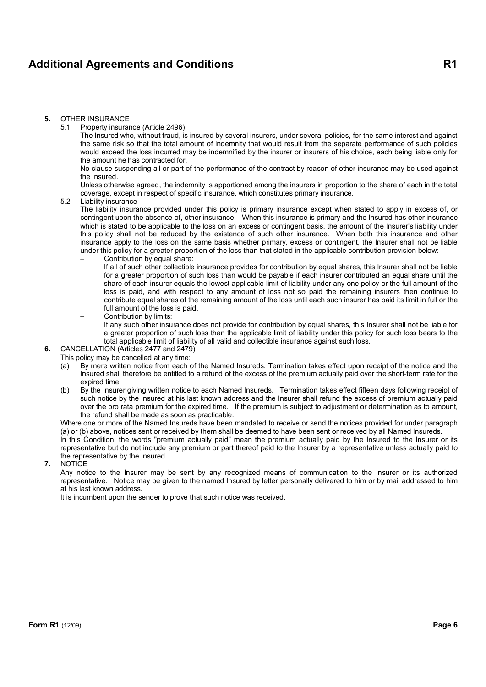### **5.** OTHER INSURANCE

5.1 Property insurance (Article 2496)

The Insured who, without fraud, is insured by several insurers, under several policies, for the same interest and against the same risk so that the total amount of indemnity that would result from the separate performance of such policies would exceed the loss incurred may be indemnified by the insurer or insurers of his choice, each being liable only for the amount he has contracted for.

No clause suspending all or part of the performance of the contract by reason of other insurance may be used against the Insured.

Unless otherwise agreed, the indemnity is apportioned among the insurers in proportion to the share of each in the total coverage, except in respect of specific insurance, which constitutes primary insurance.

5.2 Liability insurance

The liability insurance provided under this policy is primary insurance except when stated to apply in excess of, or contingent upon the absence of, other insurance. When this insurance is primary and the Insured has other insurance which is stated to be applicable to the loss on an excess or contingent basis, the amount of the Insurer's liability under this policy shall not be reduced by the existence of such other insurance. When both this insurance and other insurance apply to the loss on the same basis whether primary, excess or contingent, the Insurer shall not be liable under this policy for a greater proportion of the loss than that stated in the applicable contribution provision below:

Contribution by equal share:

If all of such other collectible insurance provides for contribution by equal shares, this Insurer shall not be liable for a greater proportion of such loss than would be payable if each insurer contributed an equal share until the share of each insurer equals the lowest applicable limit of liability under any one policy or the full amount of the loss is paid, and with respect to any amount of loss not so paid the remaining insurers then continue to contribute equal shares of the remaining amount of the loss until each such insurer has paid its limit in full or the full amount of the loss is paid.

- Contribution by limits: If any such other insurance does not provide for contribution by equal shares, this Insurer shall not be liable for a greater proportion of such loss than the applicable limit of liability under this policy for such loss bears to the total applicable limit of liability of all valid and collectible insurance against such loss.
- **6.** CANCELLATION (Articles 2477 and 2479)

This policy may be cancelled at any time:

- (a) By mere written notice from each of the Named Insureds. Termination takes effect upon receipt of the notice and the Insured shall therefore be entitled to a refund of the excess of the premium actually paid over the short-term rate for the expired time.
- (b) By the Insurer giving written notice to each Named Insureds. Termination takes effect fifteen days following receipt of such notice by the Insured at his last known address and the Insurer shall refund the excess of premium actually paid over the pro rata premium for the expired time. If the premium is subject to adjustment or determination as to amount, the refund shall be made as soon as practicable.

Where one or more of the Named Insureds have been mandated to receive or send the notices provided for under paragraph (a) or (b) above, notices sent or received by them shall be deemed to have been sent or received by all Named Insureds.

In this Condition, the words "premium actually paid" mean the premium actually paid by the Insured to the Insurer or its representative but do not include any premium or part thereof paid to the Insurer by a representative unless actually paid to the representative by the Insured.

**7.** NOTICE

Any notice to the Insurer may be sent by any recognized means of communication to the Insurer or its authorized representative. Notice may be given to the named Insured by letter personally delivered to him or by mail addressed to him at his last known address.

It is incumbent upon the sender to prove that such notice was received.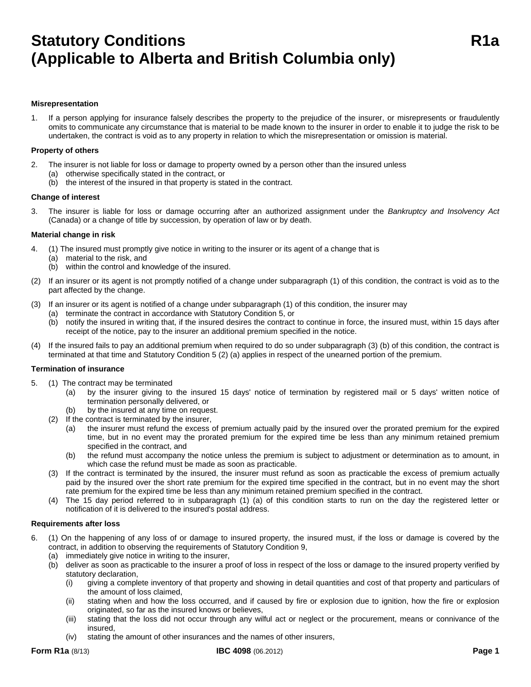# **Statutory Conditions R1a (Applicable to Alberta and British Columbia only)**

### **Misrepresentation**

1. If a person applying for insurance falsely describes the property to the prejudice of the insurer, or misrepresents or fraudulently omits to communicate any circumstance that is material to be made known to the insurer in order to enable it to judge the risk to be undertaken, the contract is void as to any property in relation to which the misrepresentation or omission is material.

### **Property of others**

- 2. The insurer is not liable for loss or damage to property owned by a person other than the insured unless
	- (a) otherwise specifically stated in the contract, or
	- (b) the interest of the insured in that property is stated in the contract.

### **Change of interest**

3. The insurer is liable for loss or damage occurring after an authorized assignment under the *Bankruptcy and Insolvency Act* (Canada) or a change of title by succession, by operation of law or by death.

### **Material change in risk**

- 4. (1) The insured must promptly give notice in writing to the insurer or its agent of a change that is
	- (a) material to the risk, and
	- (b) within the control and knowledge of the insured.
- (2) If an insurer or its agent is not promptly notified of a change under subparagraph (1) of this condition, the contract is void as to the part affected by the change.
- (3) If an insurer or its agent is notified of a change under subparagraph (1) of this condition, the insurer may
	- (a) terminate the contract in accordance with Statutory Condition 5, or
	- (b) notify the insured in writing that, if the insured desires the contract to continue in force, the insured must, within 15 days after receipt of the notice, pay to the insurer an additional premium specified in the notice.
- (4) If the insured fails to pay an additional premium when required to do so under subparagraph (3) (b) of this condition, the contract is terminated at that time and Statutory Condition 5 (2) (a) applies in respect of the unearned portion of the premium.

### **Termination of insurance**

- 5. (1) The contract may be terminated
	- (a) by the insurer giving to the insured 15 days' notice of termination by registered mail or 5 days' written notice of termination personally delivered, or
	- (b) by the insured at any time on request.
	- (2) If the contract is terminated by the insurer,
		- (a) the insurer must refund the excess of premium actually paid by the insured over the prorated premium for the expired time, but in no event may the prorated premium for the expired time be less than any minimum retained premium specified in the contract, and
		- (b) the refund must accompany the notice unless the premium is subject to adjustment or determination as to amount, in which case the refund must be made as soon as practicable.
	- (3) If the contract is terminated by the insured, the insurer must refund as soon as practicable the excess of premium actually paid by the insured over the short rate premium for the expired time specified in the contract, but in no event may the short rate premium for the expired time be less than any minimum retained premium specified in the contract.
	- (4) The 15 day period referred to in subparagraph (1) (a) of this condition starts to run on the day the registered letter or notification of it is delivered to the insured's postal address.

### **Requirements after loss**

- 6. (1) On the happening of any loss of or damage to insured property, the insured must, if the loss or damage is covered by the contract, in addition to observing the requirements of Statutory Condition 9,
	- (a) immediately give notice in writing to the insurer,
	- (b) deliver as soon as practicable to the insurer a proof of loss in respect of the loss or damage to the insured property verified by statutory declaration,
		- (i) giving a complete inventory of that property and showing in detail quantities and cost of that property and particulars of the amount of loss claimed,
		- (ii) stating when and how the loss occurred, and if caused by fire or explosion due to ignition, how the fire or explosion originated, so far as the insured knows or believes,
		- (iii) stating that the loss did not occur through any wilful act or neglect or the procurement, means or connivance of the insured,
		- (iv) stating the amount of other insurances and the names of other insurers,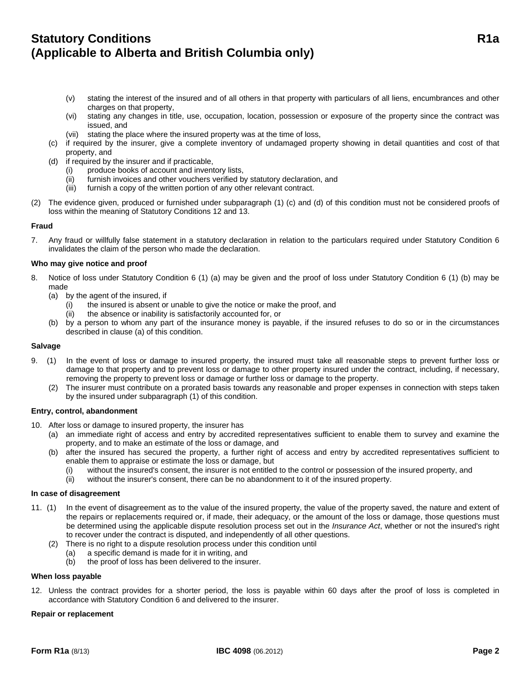## **Statutory Conditions R1a (Applicable to Alberta and British Columbia only)**

- (v) stating the interest of the insured and of all others in that property with particulars of all liens, encumbrances and other charges on that property,
- (vi) stating any changes in title, use, occupation, location, possession or exposure of the property since the contract was issued, and
- (vii) stating the place where the insured property was at the time of loss,
- (c) if required by the insurer, give a complete inventory of undamaged property showing in detail quantities and cost of that property, and
- (d) if required by the insurer and if practicable,
	- (i) produce books of account and inventory lists,
	- (ii) furnish invoices and other vouchers verified by statutory declaration, and
	- (iii) furnish a copy of the written portion of any other relevant contract.
- (2) The evidence given, produced or furnished under subparagraph (1) (c) and (d) of this condition must not be considered proofs of loss within the meaning of Statutory Conditions 12 and 13.

### **Fraud**

7. Any fraud or willfully false statement in a statutory declaration in relation to the particulars required under Statutory Condition 6 invalidates the claim of the person who made the declaration.

### **Who may give notice and proof**

- 8. Notice of loss under Statutory Condition 6 (1) (a) may be given and the proof of loss under Statutory Condition 6 (1) (b) may be made
	- (a) by the agent of the insured, if
		- (i) the insured is absent or unable to give the notice or make the proof, and
		- (ii) the absence or inability is satisfactorily accounted for, or
	- (b) by a person to whom any part of the insurance money is payable, if the insured refuses to do so or in the circumstances described in clause (a) of this condition.

### **Salvage**

- 9. (1) In the event of loss or damage to insured property, the insured must take all reasonable steps to prevent further loss or damage to that property and to prevent loss or damage to other property insured under the contract, including, if necessary, removing the property to prevent loss or damage or further loss or damage to the property.
	- (2) The insurer must contribute on a prorated basis towards any reasonable and proper expenses in connection with steps taken by the insured under subparagraph (1) of this condition.

#### **Entry, control, abandonment**

- 10. After loss or damage to insured property, the insurer has
	- (a) an immediate right of access and entry by accredited representatives sufficient to enable them to survey and examine the property, and to make an estimate of the loss or damage, and
	- (b) after the insured has secured the property, a further right of access and entry by accredited representatives sufficient to enable them to appraise or estimate the loss or damage, but
		- (i) without the insured's consent, the insurer is not entitled to the control or possession of the insured property, and
		- (ii) without the insurer's consent, there can be no abandonment to it of the insured property.

#### **In case of disagreement**

- 11. (1) In the event of disagreement as to the value of the insured property, the value of the property saved, the nature and extent of the repairs or replacements required or, if made, their adequacy, or the amount of the loss or damage, those questions must be determined using the applicable dispute resolution process set out in the *Insurance Act*, whether or not the insured's right to recover under the contract is disputed, and independently of all other questions.
	- (2) There is no right to a dispute resolution process under this condition until
		- (a) a specific demand is made for it in writing, and
		- (b) the proof of loss has been delivered to the insurer.

#### **When loss payable**

12. Unless the contract provides for a shorter period, the loss is payable within 60 days after the proof of loss is completed in accordance with Statutory Condition 6 and delivered to the insurer.

### **Repair or replacement**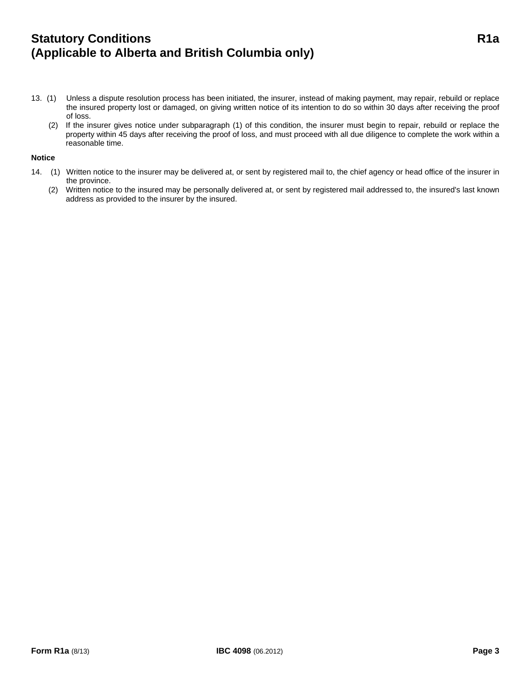## **Statutory Conditions R1a (Applicable to Alberta and British Columbia only)**

- 13. (1) Unless a dispute resolution process has been initiated, the insurer, instead of making payment, may repair, rebuild or replace the insured property lost or damaged, on giving written notice of its intention to do so within 30 days after receiving the proof of loss.
	- (2) If the insurer gives notice under subparagraph (1) of this condition, the insurer must begin to repair, rebuild or replace the property within 45 days after receiving the proof of loss, and must proceed with all due diligence to complete the work within a reasonable time.

### **Notice**

- 14. (1) Written notice to the insurer may be delivered at, or sent by registered mail to, the chief agency or head office of the insurer in the province.
	- (2) Written notice to the insured may be personally delivered at, or sent by registered mail addressed to, the insured's last known address as provided to the insurer by the insured.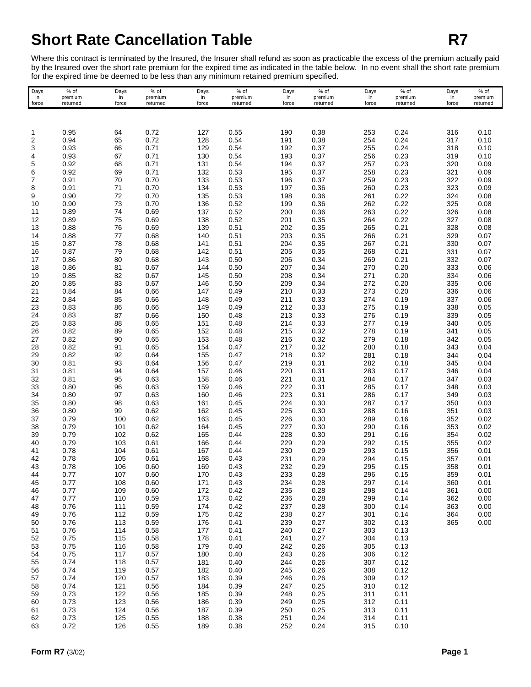# **Short Rate Cancellation Table**  R7

Where this contract is terminated by the Insured, the Insurer shall refund as soon as practicable the excess of the premium actually paid by the Insured over the short rate premium for the expired time as indicated in the table below. In no event shall the short rate premium for the expired time be deemed to be less than any minimum retained premium specified.

| Days<br>in | $%$ of<br>premium | Days<br>in | % of<br>premium | Days<br>in | % of<br>premium | Days<br>in | $%$ of<br>premium | Days<br>in | % of<br>premium | Days<br>in | % of<br>premium |
|------------|-------------------|------------|-----------------|------------|-----------------|------------|-------------------|------------|-----------------|------------|-----------------|
| force      | returned          | force      | returned        | force      | returned        | force      | returned          | force      | returned        | force      | returned        |
|            |                   |            |                 |            |                 |            |                   |            |                 |            |                 |
| 1          | 0.95              | 64         | 0.72            | 127        | 0.55            | 190        | 0.38              | 253        | 0.24            | 316        | 0.10            |
| 2          | 0.94              | 65         | 0.72            | 128        | 0.54            | 191        | 0.38              | 254        | 0.24            | 317        | 0.10            |
| 3          | 0.93              | 66         | 0.71            | 129        | 0.54            | 192        | 0.37              | 255        | 0.24            | 318        | 0.10            |
| 4          | 0.93              | 67         | 0.71            | 130        | 0.54            | 193        | 0.37              | 256        | 0.23            | 319        | 0.10            |
| 5          | 0.92              | 68         | 0.71            | 131        | 0.54            | 194        | 0.37              | 257        | 0.23            | 320        | 0.09            |
| 6          | 0.92              | 69         | 0.71            | 132        | 0.53            | 195        | 0.37              | 258        | 0.23            | 321        | 0.09            |
| 7          | 0.91              | 70         | 0.70            | 133        | 0.53            | 196        | 0.37              | 259        | 0.23            | 322        | 0.09            |
| 8<br>9     | 0.91<br>0.90      | 71<br>72   | 0.70<br>0.70    | 134<br>135 | 0.53<br>0.53    | 197<br>198 | 0.36<br>0.36      | 260<br>261 | 0.23<br>0.22    | 323<br>324 | 0.09<br>0.08    |
| 10         | 0.90              | 73         | 0.70            | 136        | 0.52            | 199        | 0.36              | 262        | 0.22            | 325        | 0.08            |
| 11         | 0.89              | 74         | 0.69            | 137        | 0.52            | 200        | 0.36              | 263        | 0.22            | 326        | 0.08            |
| 12         | 0.89              | 75         | 0.69            | 138        | 0.52            | 201        | 0.35              | 264        | 0.22            | 327        | 0.08            |
| 13         | 0.88              | 76         | 0.69            | 139        | 0.51            | 202        | 0.35              | 265        | 0.21            | 328        | 0.08            |
| 14         | 0.88              | 77         | 0.68            | 140        | 0.51            | 203        | 0.35              | 266        | 0.21            | 329        | 0.07            |
| 15         | 0.87              | 78         | 0.68            | 141        | 0.51            | 204        | 0.35              | 267        | 0.21            | 330        | 0.07            |
| 16         | 0.87              | 79         | 0.68            | 142        | 0.51            | 205        | 0.35              | 268        | 0.21            | 331        | 0.07<br>0.07    |
| 17<br>18   | 0.86<br>0.86      | 80<br>81   | 0.68<br>0.67    | 143<br>144 | 0.50<br>0.50    | 206<br>207 | 0.34<br>0.34      | 269<br>270 | 0.21<br>0.20    | 332<br>333 | 0.06            |
| 19         | 0.85              | 82         | 0.67            | 145        | 0.50            | 208        | 0.34              | 271        | 0.20            | 334        | 0.06            |
| 20         | 0.85              | 83         | 0.67            | 146        | 0.50            | 209        | 0.34              | 272        | 0.20            | 335        | 0.06            |
| 21         | 0.84              | 84         | 0.66            | 147        | 0.49            | 210        | 0.33              | 273        | 0.20            | 336        | 0.06            |
| 22         | 0.84              | 85         | 0.66            | 148        | 0.49            | 211        | 0.33              | 274        | 0.19            | 337        | 0.06            |
| 23         | 0.83              | 86         | 0.66            | 149        | 0.49            | 212        | 0.33              | 275        | 0.19            | 338        | 0.05            |
| 24         | 0.83              | 87         | 0.66            | 150        | 0.48            | 213<br>214 | 0.33              | 276        | 0.19            | 339        | 0.05            |
| 25<br>26   | 0.83<br>0.82      | 88<br>89   | 0.65<br>0.65    | 151<br>152 | 0.48<br>0.48    | 215        | 0.33<br>0.32      | 277<br>278 | 0.19<br>0.19    | 340<br>341 | 0.05<br>0.05    |
| 27         | 0.82              | 90         | 0.65            | 153        | 0.48            | 216        | 0.32              | 279        | 0.18            | 342        | 0.05            |
| 28         | 0.82              | 91         | 0.65            | 154        | 0.47            | 217        | 0.32              | 280        | 0.18            | 343        | 0.04            |
| 29         | 0.82              | 92         | 0.64            | 155        | 0.47            | 218        | 0.32              | 281        | 0.18            | 344        | 0.04            |
| 30         | 0.81              | 93         | 0.64            | 156        | 0.47            | 219        | 0.31              | 282        | 0.18            | 345        | 0.04            |
| 31         | 0.81              | 94         | 0.64            | 157        | 0.46            | 220        | 0.31              | 283        | 0.17            | 346        | 0.04            |
| 32<br>33   | 0.81<br>0.80      | 95<br>96   | 0.63<br>0.63    | 158<br>159 | 0.46<br>0.46    | 221<br>222 | 0.31<br>0.31      | 284<br>285 | 0.17<br>0.17    | 347<br>348 | 0.03<br>0.03    |
| 34         | 0.80              | 97         | 0.63            | 160        | 0.46            | 223        | 0.31              | 286        | 0.17            | 349        | 0.03            |
| 35         | 0.80              | 98         | 0.63            | 161        | 0.45            | 224        | 0.30              | 287        | 0.17            | 350        | 0.03            |
| 36         | 0.80              | 99         | 0.62            | 162        | 0.45            | 225        | 0.30              | 288        | 0.16            | 351        | 0.03            |
| 37         | 0.79              | 100        | 0.62            | 163        | 0.45            | 226        | 0.30              | 289        | 0.16            | 352        | 0.02            |
| 38         | 0.79              | 101        | 0.62            | 164        | 0.45            | 227        | 0.30              | 290        | 0.16            | 353        | 0.02            |
| 39<br>40   | 0.79<br>0.79      | 102<br>103 | 0.62<br>0.61    | 165<br>166 | 0.44<br>0.44    | 228<br>229 | 0.30<br>0.29      | 291<br>292 | 0.16<br>0.15    | 354<br>355 | 0.02<br>0.02    |
| 41         | 0.78              | 104        | 0.61            | 167        | 0.44            | 230        | 0.29              | 293        | 0.15            | 356        | 0.01            |
| 42         | 0.78              | 105        | 0.61            | 168        | 0.43            | 231        | 0.29              | 294        | 0.15            | 357        | 0.01            |
| 43         | 0.78              | 106        | 0.60            | 169        | 0.43            | 232        | 0.29              | 295        | 0.15            | 358        | 0.01            |
| 44         | 0.77              | 107        | 0.60            | 170        | 0.43            | 233        | 0.28              | 296        | 0.15            | 359        | 0.01            |
| 45         | 0.77              | 108        | 0.60            | 171        | 0.43            | 234        | 0.28              | 297        | 0.14            | 360        | 0.01            |
| 46<br>47   | 0.77<br>0.77      | 109<br>110 | 0.60<br>0.59    | 172<br>173 | 0.42<br>0.42    | 235<br>236 | 0.28<br>0.28      | 298<br>299 | 0.14<br>0.14    | 361<br>362 | 0.00<br>0.00    |
| 48         | 0.76              | 111        | 0.59            | 174        | 0.42            | 237        | 0.28              | 300        | 0.14            | 363        | 0.00            |
| 49         | 0.76              | 112        | 0.59            | 175        | 0.42            | 238        | 0.27              | 301        | 0.14            | 364        | 0.00            |
| 50         | 0.76              | 113        | 0.59            | 176        | 0.41            | 239        | 0.27              | 302        | 0.13            | 365        | 0.00            |
| 51         | 0.76              | 114        | 0.58            | 177        | 0.41            | 240        | 0.27              | 303        | 0.13            |            |                 |
| 52         | 0.75              | 115        | 0.58            | 178        | 0.41            | 241        | 0.27              | 304        | 0.13            |            |                 |
| 53         | 0.75              | 116        | 0.58            | 179        | 0.40            | 242        | 0.26              | 305        | 0.13            |            |                 |
| 54<br>55   | 0.75<br>0.74      | 117<br>118 | 0.57<br>0.57    | 180<br>181 | 0.40<br>0.40    | 243<br>244 | 0.26<br>0.26      | 306<br>307 | 0.12<br>0.12    |            |                 |
| 56         | 0.74              | 119        | 0.57            | 182        | 0.40            | 245        | 0.26              | 308        | 0.12            |            |                 |
| 57         | 0.74              | 120        | 0.57            | 183        | 0.39            | 246        | 0.26              | 309        | 0.12            |            |                 |
| 58         | 0.74              | 121        | 0.56            | 184        | 0.39            | 247        | 0.25              | 310        | 0.12            |            |                 |
| 59         | 0.73              | 122        | 0.56            | 185        | 0.39            | 248        | 0.25              | 311        | 0.11            |            |                 |
| 60         | 0.73              | 123        | 0.56            | 186        | 0.39            | 249        | 0.25              | 312        | 0.11            |            |                 |
| 61<br>62   | 0.73<br>0.73      | 124<br>125 | 0.56<br>0.55    | 187<br>188 | 0.39<br>0.38    | 250<br>251 | 0.25<br>0.24      | 313<br>314 | 0.11<br>0.11    |            |                 |
| 63         | 0.72              | 126        | 0.55            | 189        | 0.38            | 252        | 0.24              | 315        | 0.10            |            |                 |